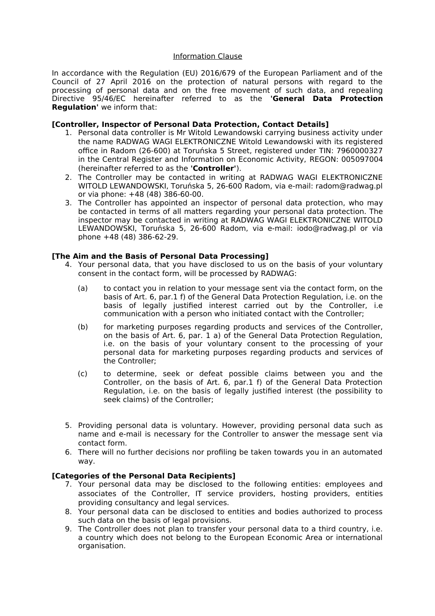#### Information Clause

In accordance with the Regulation (EU) 2016/679 of the European Parliament and of the Council of 27 April 2016 on the protection of natural persons with regard to the processing of personal data and on the free movement of such data, and repealing Directive 95/46/EC hereinafter referred to as the **'General Data Protection Regulation'** we inform that:

### **[Controller, Inspector of Personal Data Protection, Contact Details]**

- 1. Personal data controller is Mr Witold Lewandowski carrying business activity under the name RADWAG WAGI ELEKTRONICZNE Witold Lewandowski with its registered office in Radom (26-600) at Toruńska 5 Street, registered under TIN: 7960000327 in the Central Register and Information on Economic Activity, REGON: 005097004 (hereinafter referred to as the **'Controller'**).
- 2. The Controller may be contacted in writing at RADWAG WAGI ELEKTRONICZNE WITOLD LEWANDOWSKI, Toruńska 5, 26-600 Radom, via e-mail: radom@radwag.pl or via phone:  $+48(48)386-60-00$ .
- 3. The Controller has appointed an inspector of personal data protection, who may be contacted in terms of all matters regarding your personal data protection. The inspector may be contacted in writing at RADWAG WAGI ELEKTRONICZNE WITOLD LEWANDOWSKI, Toruńska 5, 26-600 Radom, via e-mail: iodo@radwag.pl or via  $phone +48 (48) 386-62-29.$

### **[The Aim and the Basis of Personal Data Processing]**

- 4. Your personal data, that you have disclosed to us on the basis of your voluntary consent in the contact form, will be processed by RADWAG:
	- (a) to contact you in relation to your message sent via the contact form, on the basis of Art. 6, par.1 f) of the General Data Protection Regulation, i.e. on the basis of legally justifed interest carried out by the Controller, i.e communication with a person who initiated contact with the Controller;
	- (b) for marketing purposes regarding products and services of the Controller, on the basis of Art. 6, par. 1 a) of the General Data Protection Regulation, i.e. on the basis of your voluntary consent to the processing of your personal data for marketing purposes regarding products and services of the Controller;
	- (c) to determine, seek or defeat possible claims between you and the Controller, on the basis of Art. 6, par.1 f) of the General Data Protection Regulation, i.e. on the basis of legally justifed interest (the possibility to seek claims) of the Controller;
- 5. Providing personal data is voluntary. However, providing personal data such as name and e-mail is necessary for the Controller to answer the message sent via contact form.
- 6. There will no further decisions nor profling be taken towards you in an automated way.

# **[Categories of the Personal Data Recipients]**

- 7. Your personal data may be disclosed to the following entities: employees and associates of the Controller, IT service providers, hosting providers, entities providing consultancy and legal services.
- 8. Your personal data can be disclosed to entities and bodies authorized to process such data on the basis of legal provisions.
- 9. The Controller does not plan to transfer your personal data to a third country, i.e. a country which does not belong to the European Economic Area or international organisation.